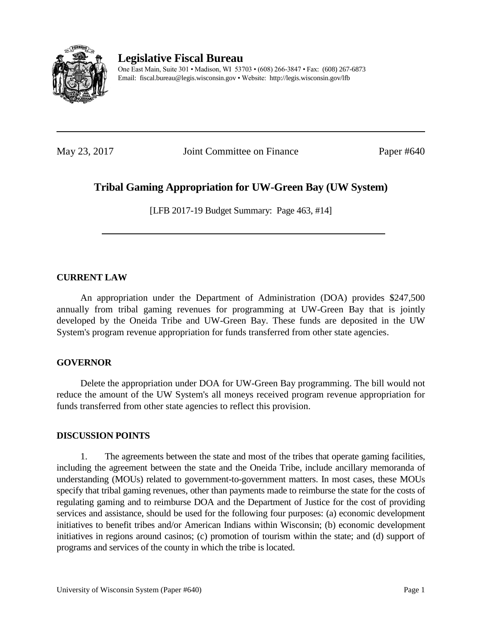

# **Legislative Fiscal Bureau**

One East Main, Suite 301 • Madison, WI 53703 • (608) 266-3847 • Fax: (608) 267-6873 Email: fiscal.bureau@legis.wisconsin.gov • Website:<http://legis.wisconsin.gov/lfb>

May 23, 2017 **Joint Committee on Finance** Paper #640

## **Tribal Gaming Appropriation for UW-Green Bay (UW System)**

[LFB 2017-19 Budget Summary: Page 463, #14]

#### **CURRENT LAW**

An appropriation under the Department of Administration (DOA) provides \$247,500 annually from tribal gaming revenues for programming at UW-Green Bay that is jointly developed by the Oneida Tribe and UW-Green Bay. These funds are deposited in the UW System's program revenue appropriation for funds transferred from other state agencies.

#### **GOVERNOR**

Delete the appropriation under DOA for UW-Green Bay programming. The bill would not reduce the amount of the UW System's all moneys received program revenue appropriation for funds transferred from other state agencies to reflect this provision.

#### **DISCUSSION POINTS**

1. The agreements between the state and most of the tribes that operate gaming facilities, including the agreement between the state and the Oneida Tribe, include ancillary memoranda of understanding (MOUs) related to government-to-government matters. In most cases, these MOUs specify that tribal gaming revenues, other than payments made to reimburse the state for the costs of regulating gaming and to reimburse DOA and the Department of Justice for the cost of providing services and assistance, should be used for the following four purposes: (a) economic development initiatives to benefit tribes and/or American Indians within Wisconsin; (b) economic development initiatives in regions around casinos; (c) promotion of tourism within the state; and (d) support of programs and services of the county in which the tribe is located.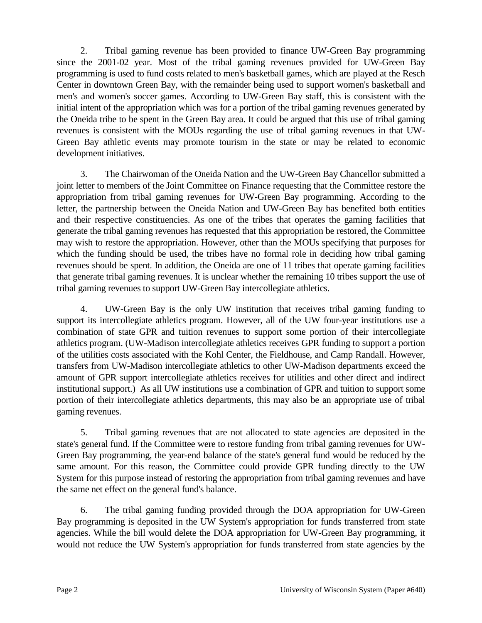2. Tribal gaming revenue has been provided to finance UW-Green Bay programming since the 2001-02 year. Most of the tribal gaming revenues provided for UW-Green Bay programming is used to fund costs related to men's basketball games, which are played at the Resch Center in downtown Green Bay, with the remainder being used to support women's basketball and men's and women's soccer games. According to UW-Green Bay staff, this is consistent with the initial intent of the appropriation which was for a portion of the tribal gaming revenues generated by the Oneida tribe to be spent in the Green Bay area. It could be argued that this use of tribal gaming revenues is consistent with the MOUs regarding the use of tribal gaming revenues in that UW-Green Bay athletic events may promote tourism in the state or may be related to economic development initiatives.

3. The Chairwoman of the Oneida Nation and the UW-Green Bay Chancellor submitted a joint letter to members of the Joint Committee on Finance requesting that the Committee restore the appropriation from tribal gaming revenues for UW-Green Bay programming. According to the letter, the partnership between the Oneida Nation and UW-Green Bay has benefited both entities and their respective constituencies. As one of the tribes that operates the gaming facilities that generate the tribal gaming revenues has requested that this appropriation be restored, the Committee may wish to restore the appropriation. However, other than the MOUs specifying that purposes for which the funding should be used, the tribes have no formal role in deciding how tribal gaming revenues should be spent. In addition, the Oneida are one of 11 tribes that operate gaming facilities that generate tribal gaming revenues. It is unclear whether the remaining 10 tribes support the use of tribal gaming revenues to support UW-Green Bay intercollegiate athletics.

4. UW-Green Bay is the only UW institution that receives tribal gaming funding to support its intercollegiate athletics program. However, all of the UW four-year institutions use a combination of state GPR and tuition revenues to support some portion of their intercollegiate athletics program. (UW-Madison intercollegiate athletics receives GPR funding to support a portion of the utilities costs associated with the Kohl Center, the Fieldhouse, and Camp Randall. However, transfers from UW-Madison intercollegiate athletics to other UW-Madison departments exceed the amount of GPR support intercollegiate athletics receives for utilities and other direct and indirect institutional support.) As all UW institutions use a combination of GPR and tuition to support some portion of their intercollegiate athletics departments, this may also be an appropriate use of tribal gaming revenues.

5. Tribal gaming revenues that are not allocated to state agencies are deposited in the state's general fund. If the Committee were to restore funding from tribal gaming revenues for UW-Green Bay programming, the year-end balance of the state's general fund would be reduced by the same amount. For this reason, the Committee could provide GPR funding directly to the UW System for this purpose instead of restoring the appropriation from tribal gaming revenues and have the same net effect on the general fund's balance.

6. The tribal gaming funding provided through the DOA appropriation for UW-Green Bay programming is deposited in the UW System's appropriation for funds transferred from state agencies. While the bill would delete the DOA appropriation for UW-Green Bay programming, it would not reduce the UW System's appropriation for funds transferred from state agencies by the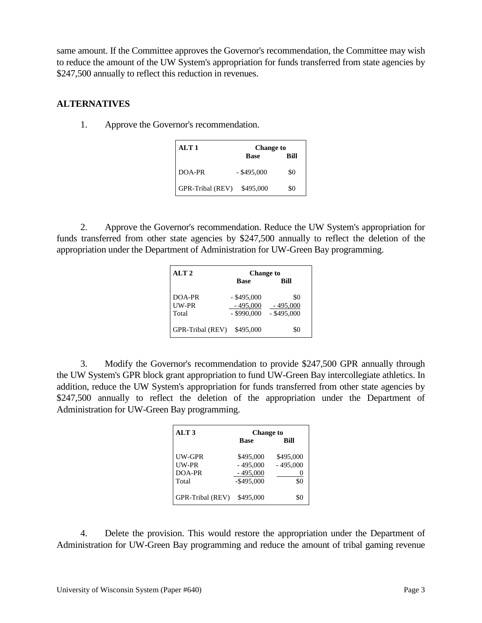same amount. If the Committee approves the Governor's recommendation, the Committee may wish to reduce the amount of the UW System's appropriation for funds transferred from state agencies by \$247,500 annually to reflect this reduction in revenues.

### **ALTERNATIVES**

1. Approve the Governor's recommendation.

| ALT 1            | <b>Change to</b> |      |
|------------------|------------------|------|
|                  | <b>Base</b>      | Rill |
| DOA-PR           | $-$ \$495,000    | \$0  |
| GPR-Tribal (REV) | \$495,000        | \$0  |

2. Approve the Governor's recommendation. Reduce the UW System's appropriation for funds transferred from other state agencies by \$247,500 annually to reflect the deletion of the appropriation under the Department of Administration for UW-Green Bay programming.

| ALT <sub>2</sub>         | <b>Change to</b>                             |                                    |
|--------------------------|----------------------------------------------|------------------------------------|
|                          | <b>Base</b>                                  | Bill                               |
| DOA-PR<br>UW-PR<br>Total | $-$ \$495,000<br>$-495,000$<br>$-$ \$990,000 | \$0<br>$-495,000$<br>$-$ \$495,000 |
| GPR-Tribal (REV)         | \$495,000                                    | \$0                                |

3. Modify the Governor's recommendation to provide \$247,500 GPR annually through the UW System's GPR block grant appropriation to fund UW-Green Bay intercollegiate athletics. In addition, reduce the UW System's appropriation for funds transferred from other state agencies by \$247,500 annually to reflect the deletion of the appropriation under the Department of Administration for UW-Green Bay programming.

| ALT <sub>3</sub> | <b>Change to</b> |                 |
|------------------|------------------|-----------------|
|                  | <b>Base</b>      | <b>Bill</b>     |
| UW-GPR           | \$495,000        | \$495,000       |
| I IW-PR          | $-495,000$       | $-495,000$      |
| DOA-PR           | $-495,000$       |                 |
| Total            | $-$ \$495,000    | \$0             |
|                  |                  |                 |
| GPR-Tribal (REV) | \$495,000        | $\mathcal{S}$ . |

4. Delete the provision. This would restore the appropriation under the Department of Administration for UW-Green Bay programming and reduce the amount of tribal gaming revenue